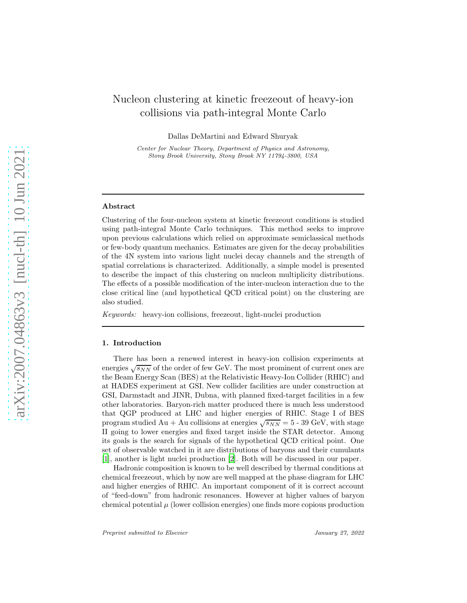# Nucleon clustering at kinetic freezeout of heavy-ion collisions via path-integral Monte Carlo

Dallas DeMartini and Edward Shuryak

Center for Nuclear Theory, Department of Physics and Astronomy, Stony Brook University, Stony Brook NY 11794-3800, USA

#### Abstract

Clustering of the four-nucleon system at kinetic freezeout conditions is studied using path-integral Monte Carlo techniques. This method seeks to improve upon previous calculations which relied on approximate semiclassical methods or few-body quantum mechanics. Estimates are given for the decay probabilities of the 4N system into various light nuclei decay channels and the strength of spatial correlations is characterized. Additionally, a simple model is presented to describe the impact of this clustering on nucleon multiplicity distributions. The effects of a possible modification of the inter-nucleon interaction due to the close critical line (and hypothetical QCD critical point) on the clustering are also studied.

Keywords: heavy-ion collisions, freezeout, light-nuclei production

# 1. Introduction

There has been a renewed interest in heavy-ion collision experiments at energies  $\sqrt{s_{NN}}$  of the order of few GeV. The most prominent of current ones are the Beam Energy Scan (BES) at the Relativistic Heavy-Ion Collider (RHIC) and at HADES experiment at GSI. New collider facilities are under construction at GSI, Darmstadt and JINR, Dubna, with planned fixed-target facilities in a few other laboratories. Baryon-rich matter produced there is much less understood that QGP produced at LHC and higher energies of RHIC. Stage I of BES program studied Au + Au collisions at energies  $\sqrt{s_{NN}} = 5$  - 39 GeV, with stage II going to lower energies and fixed target inside the STAR detector. Among its goals is the search for signals of the hypothetical QCD critical point. One set of observable watched in it are distributions of baryons and their cumulants [\[1\]](#page-22-0), another is light nuclei production [\[2\]](#page-22-1). Both will be discussed in our paper.

Hadronic composition is known to be well described by thermal conditions at chemical freezeout, which by now are well mapped at the phase diagram for LHC and higher energies of RHIC. An important component of it is correct account of "feed-down" from hadronic resonances. However at higher values of baryon chemical potential  $\mu$  (lower collision energies) one finds more copious production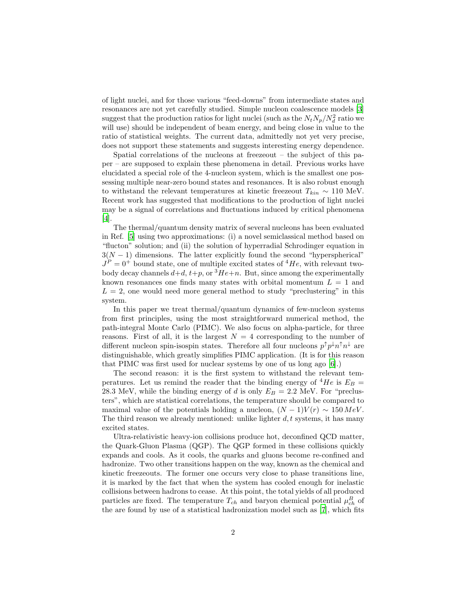of light nuclei, and for those various "feed-downs" from intermediate states and resonances are not yet carefully studied. Simple nucleon coalescence models [\[3\]](#page-22-2) suggest that the production ratios for light nuclei (such as the  $N_tN_p/N_d^2$  ratio we will use) should be independent of beam energy, and being close in value to the ratio of statistical weights. The current data, admittedly not yet very precise, does not support these statements and suggests interesting energy dependence.

Spatial correlations of the nucleons at freezeout – the subject of this paper – are supposed to explain these phenomena in detail. Previous works have elucidated a special role of the 4-nucleon system, which is the smallest one possessing multiple near-zero bound states and resonances. It is also robust enough to withstand the relevant temperatures at kinetic freezeout  $T_{kin} \sim 110$  MeV. Recent work has suggested that modifications to the production of light nuclei may be a signal of correlations and fluctuations induced by critical phenomena [\[4\]](#page-22-3).

The thermal/quantum density matrix of several nucleons has been evaluated in Ref. [\[5\]](#page-22-4) using two approximations: (i) a novel semiclassical method based on "flucton" solution; and (ii) the solution of hyperradial Schrodinger equation in  $3(N-1)$  dimensions. The latter explicitly found the second "hyperspherical"  $J<sup>P</sup> = 0<sup>+</sup>$  bound state, one of multiple excited states of <sup>4</sup>He, with relevant twobody decay channels  $d+d$ ,  $t+p$ , or  ${}^{3}He+n$ . But, since among the experimentally known resonances one finds many states with orbital momentum  $L = 1$  and  $L = 2$ , one would need more general method to study "preclustering" in this system.

In this paper we treat thermal/quantum dynamics of few-nucleon systems from first principles, using the most straightforward numerical method, the path-integral Monte Carlo (PIMC). We also focus on alpha-particle, for three reasons. First of all, it is the largest  $N = 4$  corresponding to the number of different nucleon spin-isospin states. Therefore all four nucleons  $p^{\uparrow}p^{\downarrow}n^{\uparrow}n^{\downarrow}$  are distinguishable, which greatly simplifies PIMC application. (It is for this reason that PIMC was first used for nuclear systems by one of us long ago [\[6\]](#page-22-5).)

The second reason: it is the first system to withstand the relevant temperatures. Let us remind the reader that the binding energy of  ${}^4He$  is  $E_B =$ 28.3 MeV, while the binding energy of d is only  $E_B = 2.2$  MeV. For "preclusters", which are statistical correlations, the temperature should be compared to maximal value of the potentials holding a nucleon,  $(N-1)V(r) \sim 150 \, MeV$ . The third reason we already mentioned: unlike lighter  $d, t$  systems, it has many excited states.

Ultra-relativistic heavy-ion collisions produce hot, deconfined QCD matter, the Quark-Gluon Plasma (QGP). The QGP formed in these collisions quickly expands and cools. As it cools, the quarks and gluons become re-confined and hadronize. Two other transitions happen on the way, known as the chemical and kinetic freezeouts. The former one occurs very close to phase transitions line, it is marked by the fact that when the system has cooled enough for inelastic collisions between hadrons to cease. At this point, the total yields of all produced particles are fixed. The temperature  $T_{ch}$  and baryon chemical potential  $\mu_{ch}^B$  of the are found by use of a statistical hadronization model such as [\[7\]](#page-22-6), which fits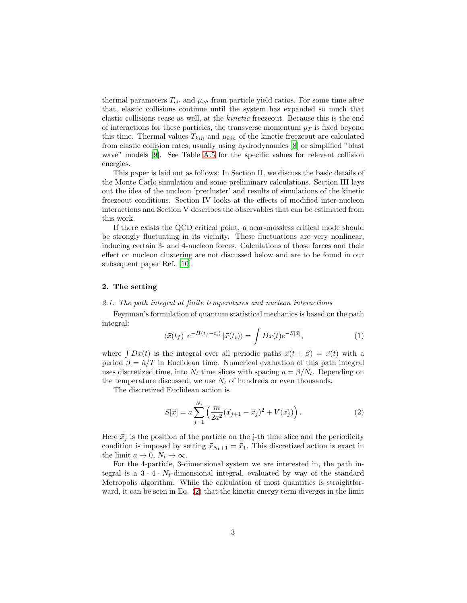thermal parameters  $T_{ch}$  and  $\mu_{ch}$  from particle yield ratios. For some time after that, elastic collisions continue until the system has expanded so much that elastic collisions cease as well, at the kinetic freezeout. Because this is the end of interactions for these particles, the transverse momentum  $p<sub>T</sub>$  is fixed beyond this time. Thermal values  $T_{kin}$  and  $\mu_{kin}$  of the kinetic freezeout are calculated from elastic collision rates, usually using hydrodynamics [\[8\]](#page-22-7) or simplified "blast wave" models [\[9\]](#page-22-8). See Table [A.5](#page-17-0) for the specific values for relevant collision energies.

This paper is laid out as follows: In Section II, we discuss the basic details of the Monte Carlo simulation and some preliminary calculations. Section III lays out the idea of the nucleon 'precluster' and results of simulations of the kinetic freezeout conditions. Section IV looks at the effects of modified inter-nucleon interactions and Section V describes the observables that can be estimated from this work.

If there exists the QCD critical point, a near-massless critical mode should be strongly fluctuating in its vicinity. These fluctuations are very nonlinear, inducing certain 3- and 4-nucleon forces. Calculations of those forces and their effect on nucleon clustering are not discussed below and are to be found in our subsequent paper Ref. [\[10\]](#page-22-9).

### 2. The setting

### 2.1. The path integral at finite temperatures and nucleon interactions

Feynman's formulation of quantum statistical mechanics is based on the path integral:

$$
\langle \vec{x}(t_f) | e^{-\hat{H}(t_f - t_i)} | \vec{x}(t_i) \rangle = \int Dx(t) e^{-S[\vec{x}]}, \qquad (1)
$$

where  $\int Dx(t)$  is the integral over all periodic paths  $\vec{x}(t + \beta) = \vec{x}(t)$  with a period  $\beta = \hbar/T$  in Euclidean time. Numerical evaluation of this path integral uses discretized time, into  $N_t$  time slices with spacing  $a = \beta/N_t$ . Depending on the temperature discussed, we use  $N_t$  of hundreds or even thousands.

The discretized Euclidean action is

<span id="page-2-0"></span>
$$
S[\vec{x}] = a \sum_{j=1}^{N_t} \left( \frac{m}{2a^2} (\vec{x}_{j+1} - \vec{x}_j)^2 + V(\vec{x}_j) \right). \tag{2}
$$

Here  $\vec{x}_j$  is the position of the particle on the j-th time slice and the periodicity condition is imposed by setting  $\vec{x}_{N_t+1} = \vec{x}_1$ . This discretized action is exact in the limit  $a \to 0$ ,  $N_t \to \infty$ .

For the 4-particle, 3-dimensional system we are interested in, the path integral is a  $3 \cdot 4 \cdot N_t$ -dimensional integral, evaluated by way of the standard Metropolis algorithm. While the calculation of most quantities is straightforward, it can be seen in Eq. [\(2\)](#page-2-0) that the kinetic energy term diverges in the limit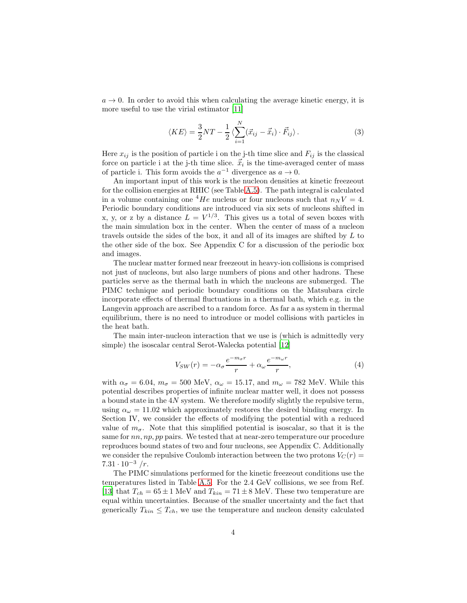$a \rightarrow 0$ . In order to avoid this when calculating the average kinetic energy, it is more useful to use the virial estimator [\[11\]](#page-22-10)

$$
\langle KE \rangle = \frac{3}{2}NT - \frac{1}{2} \langle \sum_{i=1}^{N} (\vec{x}_{ij} - \vec{\vec{x}}_i) \cdot \vec{F}_{ij} \rangle.
$$
 (3)

Here  $x_{ij}$  is the position of particle i on the j-th time slice and  $F_{ij}$  is the classical force on particle i at the j-th time slice.  $\vec{x}_i$  is the time-averaged center of mass of particle i. This form avoids the  $a^{-1}$  divergence as  $a \to 0$ .

An important input of this work is the nucleon densities at kinetic freezeout for the collision energies at RHIC (see Table [A.5\)](#page-17-0). The path integral is calculated in a volume containing one <sup>4</sup>He nucleus or four nucleons such that  $n_N V = 4$ . Periodic boundary conditions are introduced via six sets of nucleons shifted in x, y, or z by a distance  $L = V^{1/3}$ . This gives us a total of seven boxes with the main simulation box in the center. When the center of mass of a nucleon travels outside the sides of the box, it and all of its images are shifted by L to the other side of the box. See Appendix C for a discussion of the periodic box and images.

The nuclear matter formed near freezeout in heavy-ion collisions is comprised not just of nucleons, but also large numbers of pions and other hadrons. These particles serve as the thermal bath in which the nucleons are submerged. The PIMC technique and periodic boundary conditions on the Matsubara circle incorporate effects of thermal fluctuations in a thermal bath, which e.g. in the Langevin approach are ascribed to a random force. As far a as system in thermal equilibrium, there is no need to introduce or model collisions with particles in the heat bath.

The main inter-nucleon interaction that we use is (which is admittedly very simple) the isoscalar central Serot-Walecka potential [\[12](#page-22-11)]

$$
V_{SW}(r) = -\alpha_{\sigma} \frac{e^{-m_{\sigma}r}}{r} + \alpha_{\omega} \frac{e^{-m_{\omega}r}}{r},\tag{4}
$$

with  $\alpha_{\sigma} = 6.04$ ,  $m_{\sigma} = 500$  MeV,  $\alpha_{\omega} = 15.17$ , and  $m_{\omega} = 782$  MeV. While this potential describes properties of infinite nuclear matter well, it does not possess a bound state in the 4N system. We therefore modify slightly the repulsive term, using  $\alpha_{\omega} = 11.02$  which approximately restores the desired binding energy. In Section IV, we consider the effects of modifying the potential with a reduced value of  $m_{\sigma}$ . Note that this simplified potential is isoscalar, so that it is the same for nn, np, pp pairs. We tested that at near-zero temperature our procedure reproduces bound states of two and four nucleons, see Appendix C. Additionally we consider the repulsive Coulomb interaction between the two protons  $V_C(r)$  =  $7.31 \cdot 10^{-3}$  /r.

The PIMC simulations performed for the kinetic freezeout conditions use the temperatures listed in Table [A.5.](#page-17-0) For the 2.4 GeV collisions, we see from Ref. [\[13\]](#page-22-12) that  $T_{ch} = 65 \pm 1$  MeV and  $T_{kin} = 71 \pm 8$  MeV. These two temperature are equal within uncertainties. Because of the smaller uncertainty and the fact that generically  $T_{kin} \leq T_{ch}$ , we use the temperature and nucleon density calculated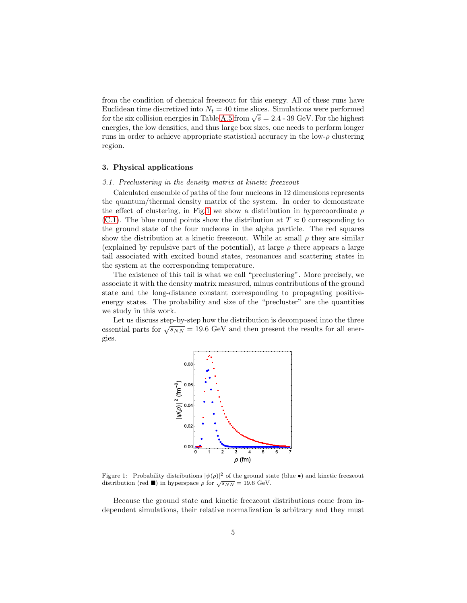from the condition of chemical freezeout for this energy. All of these runs have Euclidean time discretized into  $N_t = 40$  time slices. Simulations were performed for the six collision energies in Table [A.5](#page-17-0) from  $\sqrt{s} = 2.4$  - 39 GeV. For the highest energies, the low densities, and thus large box sizes, one needs to perform longer runs in order to achieve appropriate statistical accuracy in the low- $\rho$  clustering region.

# 3. Physical applications

#### 3.1. Preclustering in the density matrix at kinetic freezeout

Calculated ensemble of paths of the four nucleons in 12 dimensions represents the quantum/thermal density matrix of the system. In order to demonstrate the effect of clustering, in Fig[.1](#page-4-0) we show a distribution in hypercoordinate  $\rho$ [\(C.1\)](#page-20-0). The blue round points show the distribution at  $T \approx 0$  corresponding to the ground state of the four nucleons in the alpha particle. The red squares show the distribution at a kinetic freezeout. While at small  $\rho$  they are similar (explained by repulsive part of the potential), at large  $\rho$  there appears a large tail associated with excited bound states, resonances and scattering states in the system at the corresponding temperature.

The existence of this tail is what we call "preclustering". More precisely, we associate it with the density matrix measured, minus contributions of the ground state and the long-distance constant corresponding to propagating positiveenergy states. The probability and size of the "precluster" are the quantities we study in this work.

Let us discuss step-by-step how the distribution is decomposed into the three essential parts for  $\sqrt{s_{NN}} = 19.6$  GeV and then present the results for all energies.



<span id="page-4-0"></span>Figure 1: Probability distributions  $|\psi(\rho)|^2$  of the ground state (blue •) and kinetic freezeout distribution (red  $\blacksquare$ ) in hyperspace  $\rho$  for  $\sqrt{s_{NN}} = 19.6 \text{ GeV}$ .

Because the ground state and kinetic freezeout distributions come from independent simulations, their relative normalization is arbitrary and they must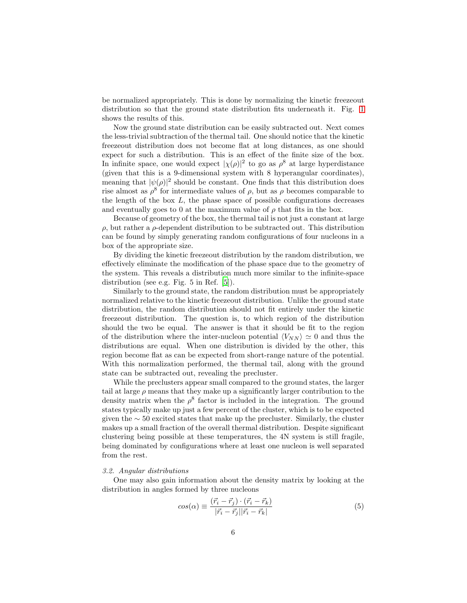be normalized appropriately. This is done by normalizing the kinetic freezeout distribution so that the ground state distribution fits underneath it. Fig. [1](#page-4-0) shows the results of this.

Now the ground state distribution can be easily subtracted out. Next comes the less-trivial subtraction of the thermal tail. One should notice that the kinetic freezeout distribution does not become flat at long distances, as one should expect for such a distribution. This is an effect of the finite size of the box. In infinite space, one would expect  $|\chi(\rho)|^2$  to go as  $\rho^8$  at large hyperdistance (given that this is a 9-dimensional system with 8 hyperangular coordinates), meaning that  $|\psi(\rho)|^2$  should be constant. One finds that this distribution does rise almost as  $\rho^8$  for intermediate values of  $\rho$ , but as  $\rho$  becomes comparable to the length of the box  $L$ , the phase space of possible configurations decreases and eventually goes to 0 at the maximum value of  $\rho$  that fits in the box.

Because of geometry of the box, the thermal tail is not just a constant at large ρ, but rather a ρ-dependent distribution to be subtracted out. This distribution can be found by simply generating random configurations of four nucleons in a box of the appropriate size.

By dividing the kinetic freezeout distribution by the random distribution, we effectively eliminate the modification of the phase space due to the geometry of the system. This reveals a distribution much more similar to the infinite-space distribution (see e.g. Fig. 5 in Ref. [\[5\]](#page-22-4)).

Similarly to the ground state, the random distribution must be appropriately normalized relative to the kinetic freezeout distribution. Unlike the ground state distribution, the random distribution should not fit entirely under the kinetic freezeout distribution. The question is, to which region of the distribution should the two be equal. The answer is that it should be fit to the region of the distribution where the inter-nucleon potential  $\langle V_{NN} \rangle \simeq 0$  and thus the distributions are equal. When one distribution is divided by the other, this region become flat as can be expected from short-range nature of the potential. With this normalization performed, the thermal tail, along with the ground state can be subtracted out, revealing the precluster.

While the preclusters appear small compared to the ground states, the larger tail at large  $\rho$  means that they make up a significantly larger contribution to the density matrix when the  $\rho^8$  factor is included in the integration. The ground states typically make up just a few percent of the cluster, which is to be expected given the ∼ 50 excited states that make up the precluster. Similarly, the cluster makes up a small fraction of the overall thermal distribution. Despite significant clustering being possible at these temperatures, the 4N system is still fragile, being dominated by configurations where at least one nucleon is well separated from the rest.

# 3.2. Angular distributions

One may also gain information about the density matrix by looking at the distribution in angles formed by three nucleons

$$
cos(\alpha) \equiv \frac{(\vec{r}_i - \vec{r}_j) \cdot (\vec{r}_i - \vec{r}_k)}{|\vec{r}_i - \vec{r}_j||\vec{r}_i - \vec{r}_k|}
$$
(5)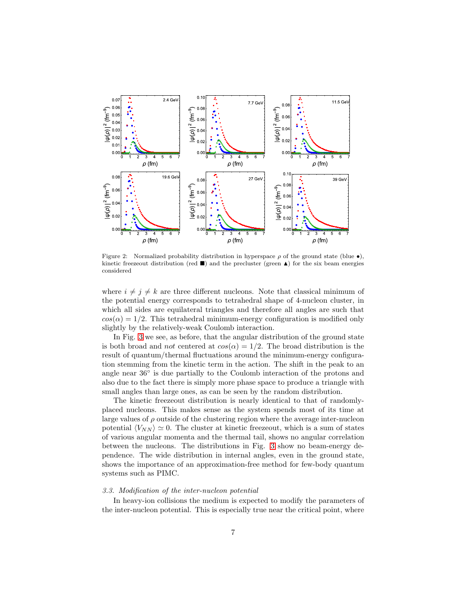

<span id="page-6-0"></span>Figure 2: Normalized probability distribution in hyperspace  $\rho$  of the ground state (blue  $\bullet$ ), kinetic freezeout distribution (red  $\blacksquare$ ) and the precluster (green  $\blacktriangle$ ) for the six beam energies considered

where  $i \neq j \neq k$  are three different nucleons. Note that classical minimum of the potential energy corresponds to tetrahedral shape of 4-nucleon cluster, in which all sides are equilateral triangles and therefore all angles are such that  $cos(\alpha) = 1/2$ . This tetrahedral minimum-energy configuration is modified only slightly by the relatively-weak Coulomb interaction.

In Fig. [3](#page-7-0) we see, as before, that the angular distribution of the ground state is both broad and *not* centered at  $cos(\alpha) = 1/2$ . The broad distribution is the result of quantum/thermal fluctuations around the minimum-energy configuration stemming from the kinetic term in the action. The shift in the peak to an angle near 36◦ is due partially to the Coulomb interaction of the protons and also due to the fact there is simply more phase space to produce a triangle with small angles than large ones, as can be seen by the random distribution.

The kinetic freezeout distribution is nearly identical to that of randomlyplaced nucleons. This makes sense as the system spends most of its time at large values of  $\rho$  outside of the clustering region where the average inter-nucleon potential  $\langle V_{NN} \rangle \simeq 0$ . The cluster at kinetic freezeout, which is a sum of states of various angular momenta and the thermal tail, shows no angular correlation between the nucleons. The distributions in Fig. [3](#page-7-0) show no beam-energy dependence. The wide distribution in internal angles, even in the ground state, shows the importance of an approximation-free method for few-body quantum systems such as PIMC.

# 3.3. Modification of the inter-nucleon potential

In heavy-ion collisions the medium is expected to modify the parameters of the inter-nucleon potential. This is especially true near the critical point, where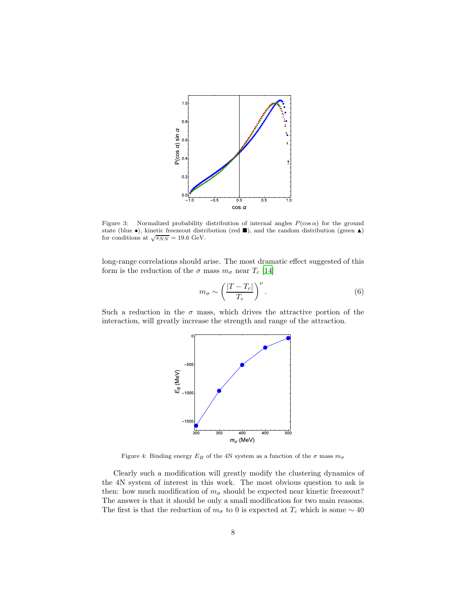

<span id="page-7-0"></span>Figure 3: Normalized probability distribution of internal angles  $P(\cos \alpha)$  for the ground state (blue  $\bullet$ ), kinetic freezeout distribution (red  $\blacksquare$ ), and the random distribution (green  $\blacktriangle$ ) for conditions at  $\sqrt{s_{NN}}=19.6$  GeV.

long-range correlations should arise. The most dramatic effect suggested of this form is the reduction of the  $\sigma$  mass  $m_{\sigma}$  near  $T_c$  [\[14\]](#page-22-13)

$$
m_{\sigma} \sim \left(\frac{|T - T_c|}{T_c}\right)^{\nu}.
$$
\n(6)

Such a reduction in the  $\sigma$  mass, which drives the attractive portion of the interaction, will greatly increase the strength and range of the attraction.



<span id="page-7-1"></span>Figure 4: Binding energy  $E_B$  of the 4N system as a function of the  $\sigma$  mass  $m_\sigma$ 

Clearly such a modification will greatly modify the clustering dynamics of the 4N system of interest in this work. The most obvious question to ask is then: how much modification of  $m_{\sigma}$  should be expected near kinetic freezeout? The answer is that it should be only a small modification for two main reasons. The first is that the reduction of  $m_{\sigma}$  to 0 is expected at  $T_c$  which is some  $\sim 40$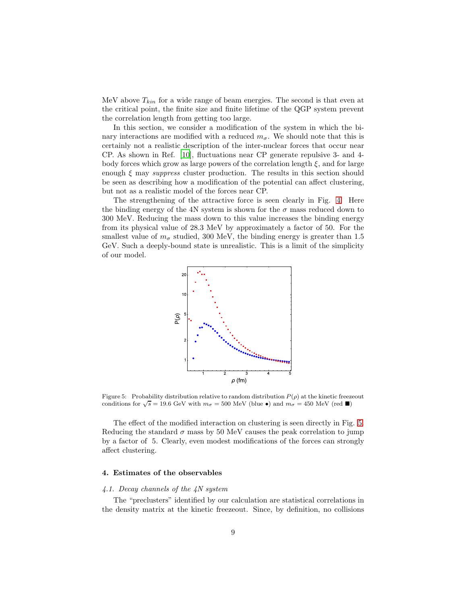MeV above  $T_{kin}$  for a wide range of beam energies. The second is that even at the critical point, the finite size and finite lifetime of the QGP system prevent the correlation length from getting too large.

In this section, we consider a modification of the system in which the binary interactions are modified with a reduced  $m_{\sigma}$ . We should note that this is certainly not a realistic description of the inter-nuclear forces that occur near CP. As shown in Ref. [\[10\]](#page-22-9), fluctuations near CP generate repulsive 3- and 4 body forces which grow as large powers of the correlation length  $\xi$ , and for large enough  $\xi$  may suppress cluster production. The results in this section should be seen as describing how a modification of the potential can affect clustering, but not as a realistic model of the forces near CP.

The strengthening of the attractive force is seen clearly in Fig. [4.](#page-7-1) Here the binding energy of the 4N system is shown for the  $\sigma$  mass reduced down to 300 MeV. Reducing the mass down to this value increases the binding energy from its physical value of 28.3 MeV by approximately a factor of 50. For the smallest value of  $m_{\sigma}$  studied, 300 MeV, the binding energy is greater than 1.5 GeV. Such a deeply-bound state is unrealistic. This is a limit of the simplicity of our model.



<span id="page-8-0"></span>Figure 5: Probability distribution relative to random distribution  $P(\rho)$  at the kinetic freezeout conditions for  $\sqrt{s} = 19.6$  GeV with  $m_{\sigma} = 500$  MeV (blue •) and  $m_{\sigma} = 450$  MeV (red  $\blacksquare$ )

The effect of the modified interaction on clustering is seen directly in Fig. [5.](#page-8-0) Reducing the standard  $\sigma$  mass by 50 MeV causes the peak correlation to jump by a factor of 5. Clearly, even modest modifications of the forces can strongly affect clustering.

# 4. Estimates of the observables

# 4.1. Decay channels of the 4N system

The "preclusters" identified by our calculation are statistical correlations in the density matrix at the kinetic freezeout. Since, by definition, no collisions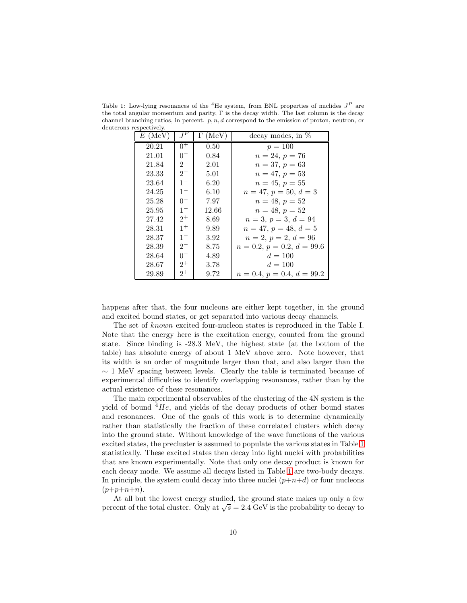<span id="page-9-0"></span>

| $E$ (MeV |           | (MeV<br>L. | decay modes, in $%$          |
|----------|-----------|------------|------------------------------|
| 20.21    | $0^{\pm}$ | 0.50       | $p = 100$                    |
| 21.01    | $0 -$     | 0.84       | $n = 24, p = 76$             |
| 21.84    | $2^{-}$   | 2.01       | $n = 37, p = 63$             |
| 23.33    | $2^{-}$   | 5.01       | $n = 47, p = 53$             |
| 23.64    | $1 -$     | 6.20       | $n = 45, p = 55$             |
| 24.25    | $1 -$     | 6.10       | $n = 47, p = 50, d = 3$      |
| 25.28    | $0 -$     | 7.97       | $n = 48, p = 52$             |
| 25.95    | $1 -$     | 12.66      | $n = 48, p = 52$             |
| 27.42    | $2^+$     | 8.69       | $n=3, p=3, d=94$             |
| 28.31    | $1^+$     | 9.89       | $n = 47, p = 48, d = 5$      |
| 28.37    | $1-$      | 3.92       | $n = 2, p = 2, d = 96$       |
| 28.39    | $2^{-}$   | 8.75       | $n = 0.2, p = 0.2, d = 99.6$ |
| 28.64    | $0^{-}$   | 4.89       | $d = 100$                    |
| 28.67    | $2^+$     | 3.78       | $d = 100$                    |
| 29.89    | $2^+$     | 9.72       | $n = 0.4, p = 0.4, d = 99.2$ |

Table 1: Low-lying resonances of the <sup>4</sup>He system, from BNL properties of nuclides  $J<sup>P</sup>$  are the total angular momentum and parity, Γ is the decay width. The last column is the decay channel branching ratios, in percent.  $p, n, d$  correspond to the emission of proton, neutron, or deuterons respectively.

happens after that, the four nucleons are either kept together, in the ground and excited bound states, or get separated into various decay channels.

The set of known excited four-nucleon states is reproduced in the Table I. Note that the energy here is the excitation energy, counted from the ground state. Since binding is -28.3 MeV, the highest state (at the bottom of the table) has absolute energy of about 1 MeV above zero. Note however, that its width is an order of magnitude larger than that, and also larger than the  $\sim$  1 MeV spacing between levels. Clearly the table is terminated because of experimental difficulties to identify overlapping resonances, rather than by the actual existence of these resonances.

The main experimental observables of the clustering of the 4N system is the yield of bound  ${}^{4}He$ , and yields of the decay products of other bound states and resonances. One of the goals of this work is to determine dynamically rather than statistically the fraction of these correlated clusters which decay into the ground state. Without knowledge of the wave functions of the various excited states, the precluster is assumed to populate the various states in Table [1](#page-9-0) statistically. These excited states then decay into light nuclei with probabilities that are known experimentally. Note that only one decay product is known for each decay mode. We assume all decays listed in Table [1](#page-9-0) are two-body decays. In principle, the system could decay into three nuclei  $(p+n+d)$  or four nucleons  $(p+p+n+n)$ .

At all but the lowest energy studied, the ground state makes up only a few percent of the total cluster. Only at  $\sqrt{s} = 2.4$  GeV is the probability to decay to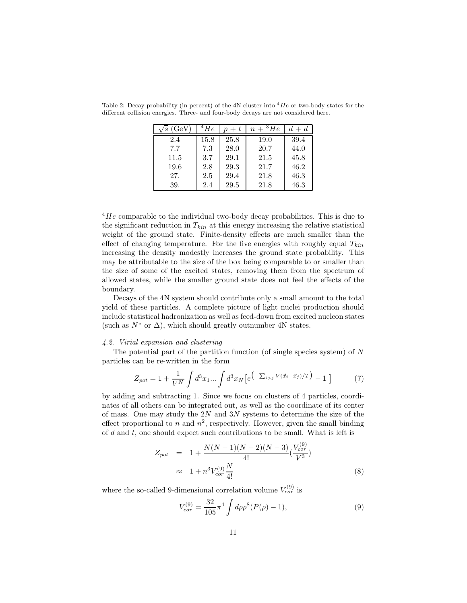| (GeV | $^4He$ | $+~t$ | $^3He$<br>$n_{-}$ | $+ d$ |
|------|--------|-------|-------------------|-------|
| 2.4  | 15.8   | 25.8  | 19.0              | 39.4  |
| 7.7  | 7.3    | 28.0  | 20.7              | 44.0  |
| 11.5 | 3.7    | 29.1  | 21.5              | 45.8  |
| 19.6 | 2.8    | 29.3  | 21.7              | 46.2  |
| 27.  | 2.5    | 29.4  | 21.8              | 46.3  |
| 39.  | 2.4    | 29.5  | 21.8              | 46.3  |

<span id="page-10-0"></span>Table 2: Decay probability (in percent) of the  $4N$  cluster into  $4He$  or two-body states for the different collision energies. Three- and four-body decays are not considered here.

 $4He$  comparable to the individual two-body decay probabilities. This is due to the significant reduction in  $T_{kin}$  at this energy increasing the relative statistical weight of the ground state. Finite-density effects are much smaller than the effect of changing temperature. For the five energies with roughly equal  $T_{kin}$ increasing the density modestly increases the ground state probability. This may be attributable to the size of the box being comparable to or smaller than the size of some of the excited states, removing them from the spectrum of allowed states, while the smaller ground state does not feel the effects of the boundary.

Decays of the 4N system should contribute only a small amount to the total yield of these particles. A complete picture of light nuclei production should include statistical hadronization as well as feed-down from excited nucleon states (such as  $N^*$  or  $\Delta$ ), which should greatly outnumber 4N states.

### 4.2. Virial expansion and clustering

The potential part of the partition function (of single species system) of  $N$ particles can be re-written in the form

$$
Z_{pot} = 1 + \frac{1}{V^N} \int d^3 x_1 \dots \int d^3 x_N \left[ e^{\left(-\sum_{i>j} V(\vec{x}_i - \vec{x}_j)/T\right)} - 1 \right]
$$
(7)

by adding and subtracting 1. Since we focus on clusters of 4 particles, coordinates of all others can be integrated out, as well as the coordinate of its center of mass. One may study the  $2N$  and  $3N$  systems to determine the size of the effect proportional to n and  $n^2$ , respectively. However, given the small binding of d and t, one should expect such contributions to be small. What is left is

<span id="page-10-1"></span>
$$
Z_{pot} = 1 + \frac{N(N-1)(N-2)(N-3)}{4!} \left(\frac{V_{cor}^{(9)}}{V^3}\right)
$$
  

$$
\approx 1 + n^3 V_{cor}^{(9)} \frac{N}{4!}
$$
 (8)

where the so-called 9-dimensional correlation volume  $V_{cor}^{(9)}$  is

$$
V_{cor}^{(9)} = \frac{32}{105} \pi^4 \int d\rho \rho^8 (P(\rho) - 1), \tag{9}
$$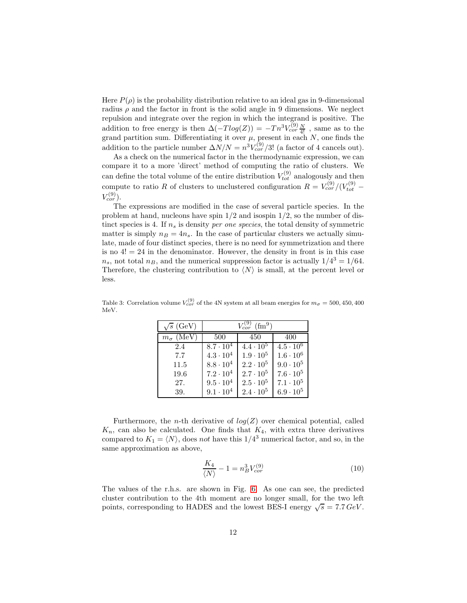Here  $P(\rho)$  is the probability distribution relative to an ideal gas in 9-dimensional radius  $\rho$  and the factor in front is the solid angle in 9 dimensions. We neglect repulsion and integrate over the region in which the integrand is positive. The addition to free energy is then  $\Delta(-Tlog(Z)) = -Tn^3V_{cor}^{(9)}\frac{N}{4!}$ , same as to the grand partition sum. Differentiating it over  $\mu$ , present in each  $N$ , one finds the addition to the particle number  $\Delta N/N = n^3 V_{cor}^{(9)}/3!$  (a factor of 4 cancels out).

As a check on the numerical factor in the thermodynamic expression, we can compare it to a more 'direct' method of computing the ratio of clusters. We can define the total volume of the entire distribution  $V_{tot}^{(9)}$  analogously and then compute to ratio R of clusters to unclustered configuration  $R = V_{cor}^{(9)}/(V_{tot}^{(9)} V_{cor}^{(9)}$ ).

The expressions are modified in the case of several particle species. In the problem at hand, nucleons have spin  $1/2$  and isospin  $1/2$ , so the number of distinct species is 4. If  $n_s$  is density per one species, the total density of symmetric matter is simply  $n_B = 4n_s$ . In the case of particular clusters we actually simulate, made of four distinct species, there is no need for symmetrization and there is no  $4! = 24$  in the denominator. However, the density in front is in this case  $n_s$ , not total  $n_B$ , and the numerical suppression factor is actually  $1/4^3 = 1/64$ . Therefore, the clustering contribution to  $\langle N \rangle$  is small, at the percent level or less.

| $\sqrt{s}$ (GeV)   | $\text{ (fm}^9)$   |                    |                    |  |
|--------------------|--------------------|--------------------|--------------------|--|
| $m_{\sigma}$ (MeV) | 500                | 450                | 400                |  |
| 2.4                | $8.7 \cdot 10^{4}$ | $4.4 \cdot 10^5$   | $4.5 \cdot 10^{6}$ |  |
| 7.7                | $4.3 \cdot 10^{4}$ | $1.9 \cdot 10^{5}$ | $1.6 \cdot 10^6$   |  |
| 11.5               | $8.8 \cdot 10^{4}$ | $2.2 \cdot 10^5$   | $9.0 \cdot 10^5$   |  |
| 19.6               | $7.2 \cdot 10^4$   | $2.7 \cdot 10^5$   | $7.6 \cdot 10^5$   |  |
| 27.                | $9.5 \cdot 10^{4}$ | $2.5 \cdot 10^5$   | $7.1 \cdot 10^5$   |  |
| 39.                | $9.1 \cdot 10^{4}$ | $2.4 \cdot 10^5$   | $6.9 \cdot 10^{5}$ |  |

<span id="page-11-1"></span>Table 3: Correlation volume  $V_{cor}^{(9)}$  of the 4N system at all beam energies for  $m_{\sigma} = 500, 450, 400$ MeV.

Furthermore, the *n*-th derivative of  $log(Z)$  over chemical potential, called  $K_n$ , can also be calculated. One finds that  $K_4$ , with extra three derivatives compared to  $K_1 = \langle N \rangle$ , does not have this  $1/4^3$  numerical factor, and so, in the same approximation as above,

<span id="page-11-0"></span>
$$
\frac{K_4}{\langle N \rangle} - 1 = n_B^3 V_{cor}^{(9)} \tag{10}
$$

The values of the r.h.s. are shown in Fig. [6.](#page-12-0) As one can see, the predicted cluster contribution to the 4th moment are no longer small, for the two left points, corresponding to HADES and the lowest BES-I energy  $\sqrt{s} = 7.7 \, GeV$ .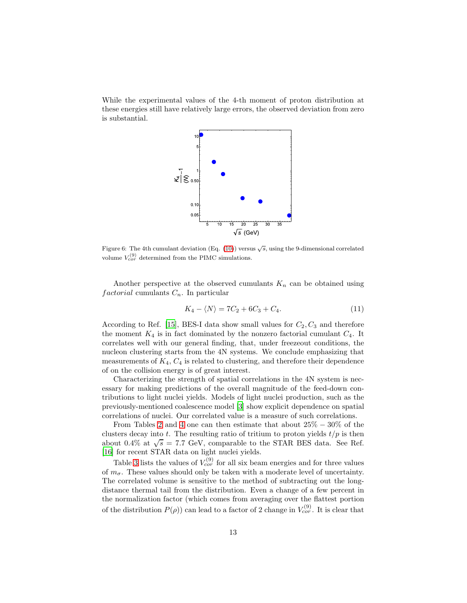While the experimental values of the 4-th moment of proton distribution at these energies still have relatively large errors, the observed deviation from zero is substantial.



<span id="page-12-0"></span>Figure 6: The 4th cumulant deviation (Eq. [\(10\)](#page-11-0)) versus  $\sqrt{s}$ , using the 9-dimensional correlated volume  $V_{cor}^{(9)}$  determined from the PIMC simulations.

Another perspective at the observed cumulants  $K_n$  can be obtained using factorial cumulants  $C_n$ . In particular

$$
K_4 - \langle N \rangle = 7C_2 + 6C_3 + C_4. \tag{11}
$$

According to Ref. [\[15](#page-22-14)], BES-I data show small values for  $C_2, C_3$  and therefore the moment  $K_4$  is in fact dominated by the nonzero factorial cumulant  $C_4$ . It correlates well with our general finding, that, under freezeout conditions, the nucleon clustering starts from the 4N systems. We conclude emphasizing that measurements of  $K_4$ ,  $C_4$  is related to clustering, and therefore their dependence of on the collision energy is of great interest.

Characterizing the strength of spatial correlations in the 4N system is necessary for making predictions of the overall magnitude of the feed-down contributions to light nuclei yields. Models of light nuclei production, such as the previously-mentioned coalescence model [\[3\]](#page-22-2) show explicit dependence on spatial correlations of nuclei. Our correlated value is a measure of such correlations.

From Tables [2](#page-10-0) and [4](#page-13-0) one can then estimate that about  $25\% - 30\%$  of the clusters decay into t. The resulting ratio of tritium to proton yields  $t/p$  is then about 0.4% at  $\sqrt{s}$  = 7.7 GeV, comparable to the STAR BES data. See Ref. [\[16\]](#page-22-15) for recent STAR data on light nuclei yields.

Table [3](#page-11-1) lists the values of  $V_{cor}^{(9)}$  for all six beam energies and for three values of  $m_{\sigma}$ . These values should only be taken with a moderate level of uncertainty. The correlated volume is sensitive to the method of subtracting out the longdistance thermal tail from the distribution. Even a change of a few percent in the normalization factor (which comes from averaging over the flattest portion of the distribution  $P(\rho)$  can lead to a factor of 2 change in  $V_{cor}^{(9)}$ . It is clear that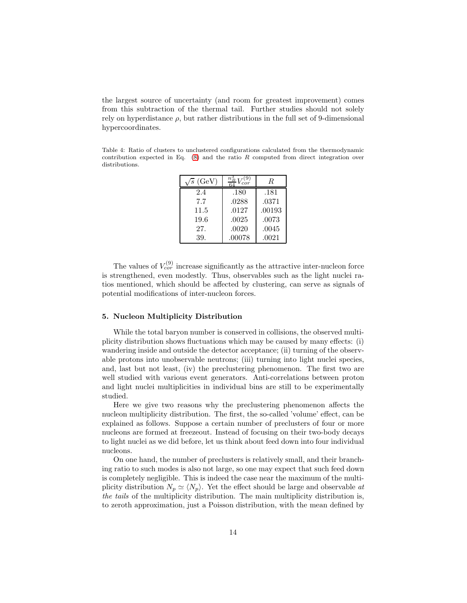the largest source of uncertainty (and room for greatest improvement) comes from this subtraction of the thermal tail. Further studies should not solely rely on hyperdistance  $\rho$ , but rather distributions in the full set of 9-dimensional hypercoordinates.

<span id="page-13-0"></span>Table 4: Ratio of clusters to unclustered configurations calculated from the thermodynamic contribution expected in Eq.  $(8)$  and the ratio R computed from direct integration over distributions.

| (GeV)<br>S |        | R.     |
|------------|--------|--------|
| 2.4        | .180   | .181   |
| 7.7        | .0288  | .0371  |
| 11.5       | .0127  | .00193 |
| 19.6       | .0025  | .0073  |
| 27.        | .0020  | .0045  |
| 39.        | .00078 | .0021  |

The values of  $V_{cor}^{(9)}$  increase significantly as the attractive inter-nucleon force is strengthened, even modestly. Thus, observables such as the light nuclei ratios mentioned, which should be affected by clustering, can serve as signals of potential modifications of inter-nucleon forces.

# 5. Nucleon Multiplicity Distribution

While the total baryon number is conserved in collisions, the observed multiplicity distribution shows fluctuations which may be caused by many effects: (i) wandering inside and outside the detector acceptance; (ii) turning of the observable protons into unobservable neutrons; (iii) turning into light nuclei species, and, last but not least, (iv) the preclustering phenomenon. The first two are well studied with various event generators. Anti-correlations between proton and light nuclei multiplicities in individual bins are still to be experimentally studied.

Here we give two reasons why the preclustering phenomenon affects the nucleon multiplicity distribution. The first, the so-called 'volume' effect, can be explained as follows. Suppose a certain number of preclusters of four or more nucleons are formed at freezeout. Instead of focusing on their two-body decays to light nuclei as we did before, let us think about feed down into four individual nucleons.

On one hand, the number of preclusters is relatively small, and their branching ratio to such modes is also not large, so one may expect that such feed down is completely negligible. This is indeed the case near the maximum of the multiplicity distribution  $N_p \simeq \langle N_p \rangle$ . Yet the effect should be large and observable at the tails of the multiplicity distribution. The main multiplicity distribution is, to zeroth approximation, just a Poisson distribution, with the mean defined by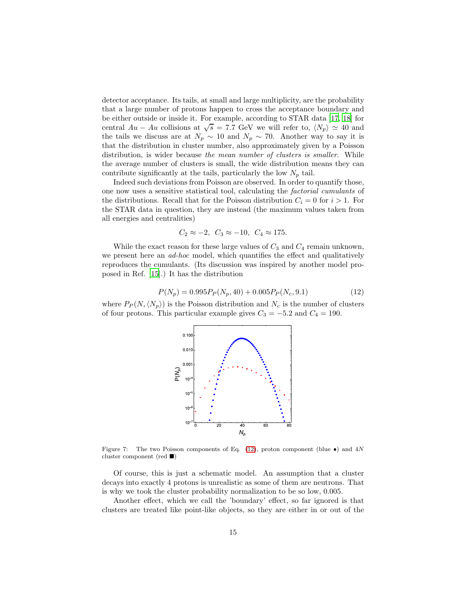detector acceptance. Its tails, at small and large multiplicity, are the probability that a large number of protons happen to cross the acceptance boundary and be either outside or inside it. For example, according to STAR data [\[17,](#page-22-16) [18\]](#page-22-17) for central  $Au - Au$  collisions at  $\sqrt{s} = 7.7$  GeV we will refer to,  $\langle N_p \rangle \simeq 40$  and the tails we discuss are at  $N_p \sim 10$  and  $N_p \sim 70$ . Another way to say it is that the distribution in cluster number, also approximately given by a Poisson distribution, is wider because the mean number of clusters is smaller. While the average number of clusters is small, the wide distribution means they can contribute significantly at the tails, particularly the low  $N_p$  tail.

Indeed such deviations from Poisson are observed. In order to quantify those, one now uses a sensitive statistical tool, calculating the factorial cumulants of the distributions. Recall that for the Poisson distribution  $C_i = 0$  for  $i > 1$ . For the STAR data in question, they are instead (the maximum values taken from all energies and centralities)

$$
C_2 \approx -2, \ C_3 \approx -10, \ C_4 \approx 175.
$$

While the exact reason for these large values of  $C_3$  and  $C_4$  remain unknown, we present here an *ad-hoc* model, which quantifies the effect and qualitatively reproduces the cumulants. (Its discussion was inspired by another model proposed in Ref. [\[15](#page-22-14)].) It has the distribution

<span id="page-14-0"></span>
$$
P(N_p) = 0.995 P_P(N_p, 40) + 0.005 P_P(N_c, 9.1)
$$
\n(12)

where  $P_P(N,\langle N_p \rangle)$  is the Poisson distribution and  $N_c$  is the number of clusters of four protons. This particular example gives  $C_3 = -5.2$  and  $C_4 = 190$ .



Figure 7: The two Poisson components of Eq. [\(12\)](#page-14-0), proton component (blue  $\bullet$ ) and 4N cluster component (red  $\blacksquare$ )

Of course, this is just a schematic model. An assumption that a cluster decays into exactly 4 protons is unrealistic as some of them are neutrons. That is why we took the cluster probability normalization to be so low, 0.005.

Another effect, which we call the 'boundary' effect, so far ignored is that clusters are treated like point-like objects, so they are either in or out of the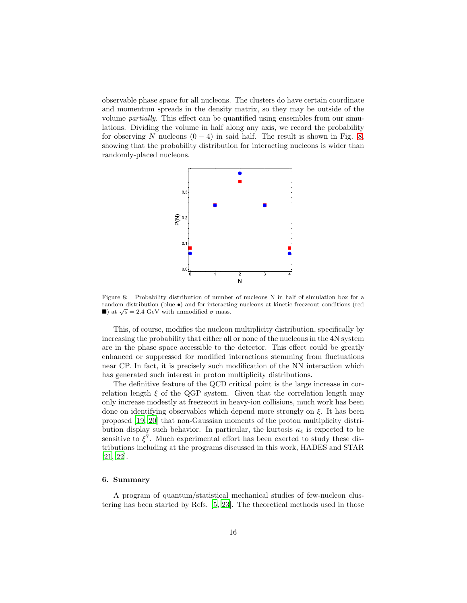observable phase space for all nucleons. The clusters do have certain coordinate and momentum spreads in the density matrix, so they may be outside of the volume partially. This effect can be quantified using ensembles from our simulations. Dividing the volume in half along any axis, we record the probability for observing N nucleons  $(0 - 4)$  in said half. The result is shown in Fig. [8,](#page-15-0) showing that the probability distribution for interacting nucleons is wider than randomly-placed nucleons.



<span id="page-15-0"></span>Figure 8: Probability distribution of number of nucleons N in half of simulation box for a random distribution (blue •) and for interacting nucleons at kinetic freezeout conditions (red ■) at  $\sqrt{s}$  = 2.4 GeV with unmodified  $\sigma$  mass.

This, of course, modifies the nucleon multiplicity distribution, specifically by increasing the probability that either all or none of the nucleons in the 4N system are in the phase space accessible to the detector. This effect could be greatly enhanced or suppressed for modified interactions stemming from fluctuations near CP. In fact, it is precisely such modification of the NN interaction which has generated such interest in proton multiplicity distributions.

The definitive feature of the QCD critical point is the large increase in correlation length  $\xi$  of the QGP system. Given that the correlation length may only increase modestly at freezeout in heavy-ion collisions, much work has been done on identifying observables which depend more strongly on  $\xi$ . It has been proposed [\[19,](#page-23-0) [20\]](#page-23-1) that non-Gaussian moments of the proton multiplicity distribution display such behavior. In particular, the kurtosis  $\kappa_4$  is expected to be sensitive to  $\xi^7$ . Much experimental effort has been exerted to study these distributions including at the programs discussed in this work, HADES and STAR [\[21,](#page-23-2) [22\]](#page-23-3).

# 6. Summary

A program of quantum/statistical mechanical studies of few-nucleon clustering has been started by Refs. [\[5,](#page-22-4) [23\]](#page-23-4). The theoretical methods used in those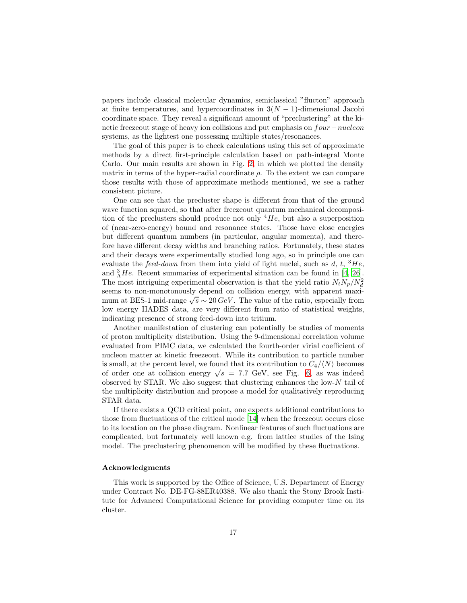papers include classical molecular dynamics, semiclassical "flucton" approach at finite temperatures, and hypercoordinates in  $3(N-1)$ -dimensional Jacobi coordinate space. They reveal a significant amount of "preclustering" at the kinetic freezeout stage of heavy ion collisions and put emphasis on four−nucleon systems, as the lightest one possessing multiple states/resonances.

The goal of this paper is to check calculations using this set of approximate methods by a direct first-principle calculation based on path-integral Monte Carlo. Our main results are shown in Fig. [2,](#page-6-0) in which we plotted the density matrix in terms of the hyper-radial coordinate  $\rho$ . To the extent we can compare those results with those of approximate methods mentioned, we see a rather consistent picture.

One can see that the precluster shape is different from that of the ground wave function squared, so that after freezeout quantum mechanical decomposition of the preclusters should produce not only  $^{4}He$ , but also a superposition of (near-zero-energy) bound and resonance states. Those have close energies but different quantum numbers (in particular, angular momenta), and therefore have different decay widths and branching ratios. Fortunately, these states and their decays were experimentally studied long ago, so in principle one can evaluate the feed-down from them into yield of light nuclei, such as d, t,  $^3He$ , and  ${}^{3}_{\Lambda}He$ . Recent summaries of experimental situation can be found in [\[4,](#page-22-3) [26\]](#page-23-5). The most intriguing experimental observation is that the yield ratio  $N_t N_p / N_d^2$ seems to non-monotonously depend on collision energy, with apparent maximum at BES-1 mid-range  $\sqrt{s} \sim 20 \ GeV$ . The value of the ratio, especially from low energy HADES data, are very different from ratio of statistical weights, indicating presence of strong feed-down into tritium.

Another manifestation of clustering can potentially be studies of moments of proton multiplicity distribution. Using the 9-dimensional correlation volume evaluated from PIMC data, we calculated the fourth-order virial coefficient of nucleon matter at kinetic freezeout. While its contribution to particle number is small, at the percent level, we found that its contribution to  $C_4/\langle N \rangle$  becomes of order one at collision energy  $\sqrt{s}$  = 7.7 GeV, see Fig. [6,](#page-12-0) as was indeed observed by STAR. We also suggest that clustering enhances the low- $N$  tail of the multiplicity distribution and propose a model for qualitatively reproducing STAR data.

If there exists a QCD critical point, one expects additional contributions to those from fluctuations of the critical mode [\[14](#page-22-13)] when the freezeout occurs close to its location on the phase diagram. Nonlinear features of such fluctuations are complicated, but fortunately well known e.g. from lattice studies of the Ising model. The preclustering phenomenon will be modified by these fluctuations.

#### Acknowledgments

This work is supported by the Office of Science, U.S. Department of Energy under Contract No. DE-FG-88ER40388. We also thank the Stony Brook Institute for Advanced Computational Science for providing computer time on its cluster.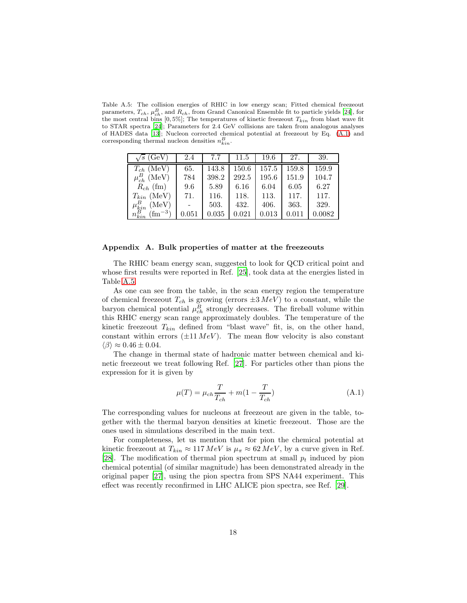<span id="page-17-0"></span>Table A.5: The collision energies of RHIC in low energy scan; Fitted chemical freezeout parameters,  $T_{ch}$ ,  $\mu_{ch}^B$ , and  $R_{ch}$ , from Grand Canonical Ensemble fit to particle yields [\[24](#page-23-6)], for the most central bins  $[0, 5\%]$ ; The temperatures of kinetic freezeout  $T_{kin}$  from blast wave fit to STAR spectra [\[24](#page-23-6)]; Parameters for 2.4 GeV collisions are taken from analogous analyses of HADES data [\[13\]](#page-22-12); Nucleon corrected chemical potential at freezeout by Eq. [\(A.1\)](#page-17-1) and corresponding thermal nucleon densities  $n_{kin}^B$ .

| $\sqrt{s}$ (GeV)              | 2.4         | 7.7   | 11.5  | 19.6  | 27.   | 39.    |
|-------------------------------|-------------|-------|-------|-------|-------|--------|
| $T_{ch}$ (MeV)                | 65.         | 143.8 | 150.6 | 157.5 | 159.8 | 159.9  |
| $\mu_{ch}^B$ (MeV)            | 784         | 398.2 | 292.5 | 195.6 | 151.9 | 104.7  |
| $R_{ch}$ (fm)                 | 9.6         | 5.89  | 6.16  | 6.04  | 6.05  | 6.27   |
| $T_{kin}$ (MeV)               | 71.         | 116.  | 118.  | 113.  | 117.  | 117.   |
| $\mu_{kin}^B$<br>(MeV)        |             | 503.  | 432.  | 406.  | 363.  | 329.   |
| $n_{kin}^B$<br>$\rm (fm^{-3}$ | $\,0.051\,$ | 0.035 | 0.021 | 0.013 | 0.011 | 0.0082 |

### Appendix A. Bulk properties of matter at the freezeouts

The RHIC beam energy scan, suggested to look for QCD critical point and whose first results were reported in Ref. [\[25](#page-23-7)], took data at the energies listed in Table [A.5.](#page-17-0)

As one can see from the table, in the scan energy region the temperature of chemical freezeout  $T_{ch}$  is growing (errors  $\pm 3 \, MeV$ ) to a constant, while the baryon chemical potential  $\mu_{ch}^B$  strongly decreases. The fireball volume within this RHIC energy scan range approximately doubles. The temperature of the kinetic freezeout  $T_{kin}$  defined from "blast wave" fit, is, on the other hand, constant within errors  $(\pm 11 \, MeV)$ . The mean flow velocity is also constant  $\langle \beta \rangle \approx 0.46 \pm 0.04.$ 

The change in thermal state of hadronic matter between chemical and kinetic freezeout we treat following Ref. [\[27](#page-23-8)]. For particles other than pions the expression for it is given by

<span id="page-17-1"></span>
$$
\mu(T) = \mu_{ch} \frac{T}{T_{ch}} + m(1 - \frac{T}{T_{ch}})
$$
\n(A.1)

The corresponding values for nucleons at freezeout are given in the table, together with the thermal baryon densities at kinetic freezeout. Those are the ones used in simulations described in the main text.

For completeness, let us mention that for pion the chemical potential at kinetic freezeout at  $T_{kin} \approx 117 \, MeV$  is  $\mu_{\pi} \approx 62 \, MeV$ , by a curve given in Ref. [\[28\]](#page-23-9). The modification of thermal pion spectrum at small  $p_t$  induced by pion chemical potential (of similar magnitude) has been demonstrated already in the original paper [\[27](#page-23-8)], using the pion spectra from SPS NA44 experiment. This effect was recently reconfirmed in LHC ALICE pion spectra, see Ref. [\[29](#page-23-10)].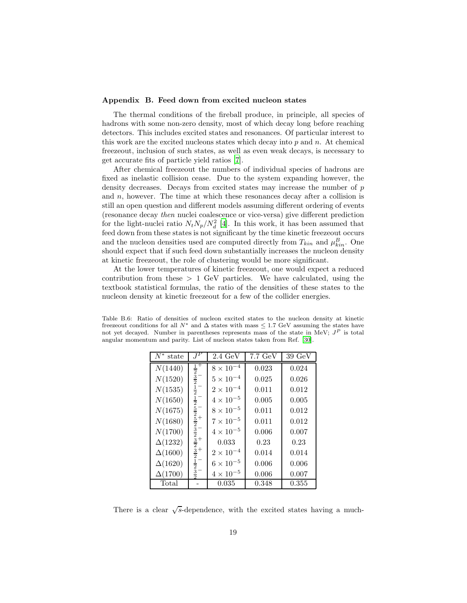# Appendix B. Feed down from excited nucleon states

The thermal conditions of the fireball produce, in principle, all species of hadrons with some non-zero density, most of which decay long before reaching detectors. This includes excited states and resonances. Of particular interest to this work are the excited nucleons states which decay into  $p$  and  $n$ . At chemical freezeout, inclusion of such states, as well as even weak decays, is necessary to get accurate fits of particle yield ratios [\[7\]](#page-22-6).

After chemical freezeout the numbers of individual species of hadrons are fixed as inelastic collision cease. Due to the system expanding however, the density decreases. Decays from excited states may increase the number of p and  $n$ , however. The time at which these resonances decay after a collision is still an open question and different models assuming different ordering of events (resonance decay then nuclei coalescence or vice-versa) give different prediction for the light-nuclei ratio  $N_t N_p / N_d^2$  [\[4](#page-22-3)]. In this work, it has been assumed that feed down from these states is not significant by the time kinetic freezeout occurs and the nucleon densities used are computed directly from  $T_{kin}$  and  $\mu_{kin}^B$ . One should expect that if such feed down substantially increases the nucleon density at kinetic freezeout, the role of clustering would be more significant.

At the lower temperatures of kinetic freezeout, one would expect a reduced contribution from these  $> 1$  GeV particles. We have calculated, using the textbook statistical formulas, the ratio of the densities of these states to the nucleon density at kinetic freezeout for a few of the collider energies.

Table B.6: Ratio of densities of nucleon excited states to the nucleon density at kinetic freezeout conditions for all  $N^*$  and  $\Delta$  states with mass  $\leq 1.7$  GeV assuming the states have not yet decayed. Number in parentheses represents mass of the state in MeV;  $J<sup>P</sup>$  is total angular momentum and parity. List of nucleon states taken from Ref. [\[30](#page-23-11)].

| $N^*$<br>state | $J^F$                                                                                                                                 | $2.4 \text{ GeV}$  | $7.7\,\mathrm{GeV}$ | $39\,\mathrm{GeV}$ |
|----------------|---------------------------------------------------------------------------------------------------------------------------------------|--------------------|---------------------|--------------------|
| N(1440)        | $\frac{1}{2}$ +<br>$\frac{3}{2}$ -                                                                                                    | $8 \times 10^{-4}$ | 0.023               | 0.024              |
| N(1520)        |                                                                                                                                       | $5 \times 10^{-4}$ | 0.025               | 0.026              |
| N(1535)        | $\frac{1}{2}$                                                                                                                         | $2 \times 10^{-4}$ | 0.011               | 0.012              |
| N(1650)        |                                                                                                                                       | $4 \times 10^{-5}$ | 0.005               | 0.005              |
| N(1675)        |                                                                                                                                       | $8 \times 10^{-5}$ | 0.011               | 0.012              |
| N(1680)        |                                                                                                                                       | $7 \times 10^{-5}$ | 0.011               | 0.012              |
| N(1700)        | $\frac{1}{2} \frac{5}{2} \frac{5}{2} \frac{5}{2} \frac{3}{2} \frac{3}{2} \frac{3}{2} \frac{3}{2} \frac{1}{2} \frac{3}{2} \frac{3}{2}$ | $4 \times 10^{-5}$ | 0.006               | 0.007              |
| $\Delta(1232)$ |                                                                                                                                       | 0.033              | 0.23                | 0.23               |
| $\Delta(1600)$ |                                                                                                                                       | $2 \times 10^{-4}$ | 0.014               | 0.014              |
| $\Delta(1620)$ |                                                                                                                                       | $6 \times 10^{-5}$ | 0.006               | 0.006              |
| $\Delta(1700)$ |                                                                                                                                       | $4 \times 10^{-5}$ | 0.006               | 0.007              |
| Total          |                                                                                                                                       | 0.035              | 0.348               | 0.355              |

There is a clear  $\sqrt{s}$ -dependence, with the excited states having a much-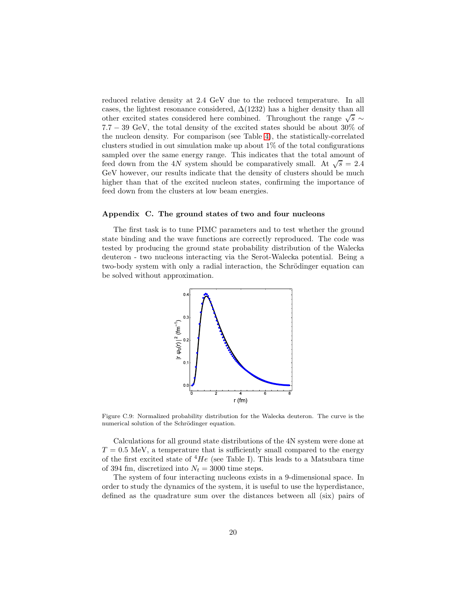reduced relative density at 2.4 GeV due to the reduced temperature. In all cases, the lightest resonance considered,  $\Delta(1232)$  has a higher density than all other excited states considered here combined. Throughout the range  $\sqrt{s} \sim$ 7.7 − 39 GeV, the total density of the excited states should be about 30% of the nucleon density. For comparison (see Table [4\)](#page-13-0), the statistically-correlated clusters studied in out simulation make up about 1% of the total configurations sampled over the same energy range. This indicates that the total amount of feed down from the 4N system should be comparatively small. At  $\sqrt{s} = 2.4$ GeV however, our results indicate that the density of clusters should be much higher than that of the excited nucleon states, confirming the importance of feed down from the clusters at low beam energies.

## Appendix C. The ground states of two and four nucleons

The first task is to tune PIMC parameters and to test whether the ground state binding and the wave functions are correctly reproduced. The code was tested by producing the ground state probability distribution of the Walecka deuteron - two nucleons interacting via the Serot-Walecka potential. Being a two-body system with only a radial interaction, the Schrödinger equation can be solved without approximation.



Figure C.9: Normalized probability distribution for the Walecka deuteron. The curve is the numerical solution of the Schrödinger equation.

Calculations for all ground state distributions of the 4N system were done at  $T = 0.5$  MeV, a temperature that is sufficiently small compared to the energy of the first excited state of  ${}^{4}He$  (see Table I). This leads to a Matsubara time of 394 fm, discretized into  $N_t = 3000$  time steps.

The system of four interacting nucleons exists in a 9-dimensional space. In order to study the dynamics of the system, it is useful to use the hyperdistance, defined as the quadrature sum over the distances between all (six) pairs of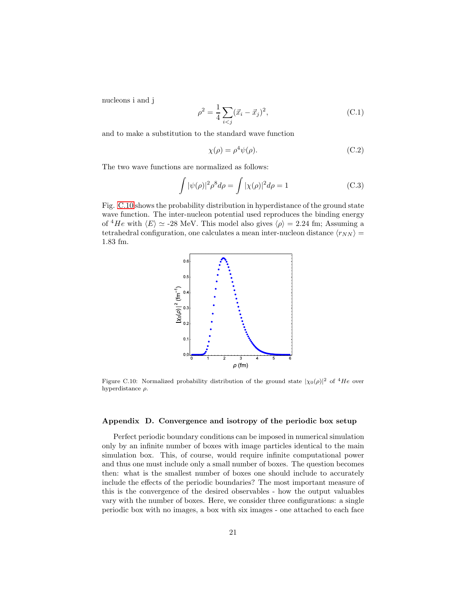nucleons i and j

<span id="page-20-0"></span>
$$
\rho^2 = \frac{1}{4} \sum_{i < j} (\vec{x}_i - \vec{x}_j)^2,\tag{C.1}
$$

and to make a substitution to the standard wave function

$$
\chi(\rho) = \rho^4 \psi(\rho). \tag{C.2}
$$

The two wave functions are normalized as follows:

$$
\int |\psi(\rho)|^2 \rho^8 d\rho = \int |\chi(\rho)|^2 d\rho = 1
$$
 (C.3)

Fig. [C.10](#page-20-1) shows the probability distribution in hyperdistance of the ground state wave function. The inter-nucleon potential used reproduces the binding energy of <sup>4</sup>He with  $\langle E \rangle \simeq$  -28 MeV. This model also gives  $\langle \rho \rangle = 2.24$  fm; Assuming a tetrahedral configuration, one calculates a mean inter-nucleon distance  $\langle r_{NN} \rangle =$ 1.83 fm.



<span id="page-20-1"></span>Figure C.10: Normalized probability distribution of the ground state  $|\chi_0(\rho)|^2$  of <sup>4</sup>He over hyperdistance  $\rho$ .

#### Appendix D. Convergence and isotropy of the periodic box setup

Perfect periodic boundary conditions can be imposed in numerical simulation only by an infinite number of boxes with image particles identical to the main simulation box. This, of course, would require infinite computational power and thus one must include only a small number of boxes. The question becomes then: what is the smallest number of boxes one should include to accurately include the effects of the periodic boundaries? The most important measure of this is the convergence of the desired observables - how the output valuables vary with the number of boxes. Here, we consider three configurations: a single periodic box with no images, a box with six images - one attached to each face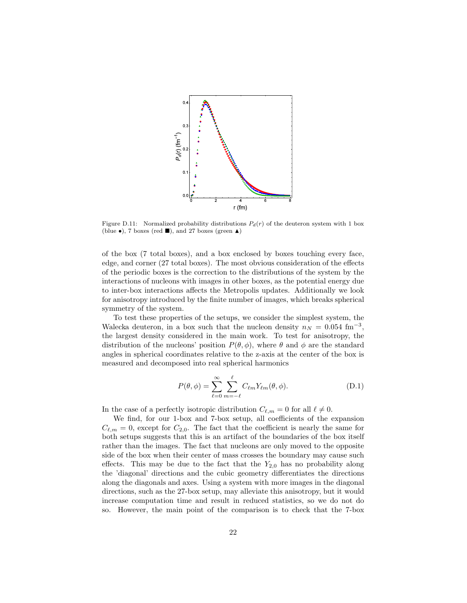

Figure D.11: Normalized probability distributions  $P_d(r)$  of the deuteron system with 1 box (blue  $\bullet$ ), 7 boxes (red  $\blacksquare$ ), and 27 boxes (green  $\blacktriangle$ )

of the box (7 total boxes), and a box enclosed by boxes touching every face, edge, and corner (27 total boxes). The most obvious consideration of the effects of the periodic boxes is the correction to the distributions of the system by the interactions of nucleons with images in other boxes, as the potential energy due to inter-box interactions affects the Metropolis updates. Additionally we look for anisotropy introduced by the finite number of images, which breaks spherical symmetry of the system.

To test these properties of the setups, we consider the simplest system, the Walecka deuteron, in a box such that the nucleon density  $n_N = 0.054$  fm<sup>-3</sup>, the largest density considered in the main work. To test for anisotropy, the distribution of the nucleons' position  $P(\theta, \phi)$ , where  $\theta$  and  $\phi$  are the standard angles in spherical coordinates relative to the z-axis at the center of the box is measured and decomposed into real spherical harmonics

$$
P(\theta,\phi) = \sum_{\ell=0}^{\infty} \sum_{m=-\ell}^{\ell} C_{\ell m} Y_{\ell m}(\theta,\phi).
$$
 (D.1)

In the case of a perfectly isotropic distribution  $C_{\ell,m} = 0$  for all  $\ell \neq 0$ .

We find, for our 1-box and 7-box setup, all coefficients of the expansion  $C_{\ell,m} = 0$ , except for  $C_{2,0}$ . The fact that the coefficient is nearly the same for both setups suggests that this is an artifact of the boundaries of the box itself rather than the images. The fact that nucleons are only moved to the opposite side of the box when their center of mass crosses the boundary may cause such effects. This may be due to the fact that the  $Y_{2,0}$  has no probability along the 'diagonal' directions and the cubic geometry differentiates the directions along the diagonals and axes. Using a system with more images in the diagonal directions, such as the 27-box setup, may alleviate this anisotropy, but it would increase computation time and result in reduced statistics, so we do not do so. However, the main point of the comparison is to check that the 7-box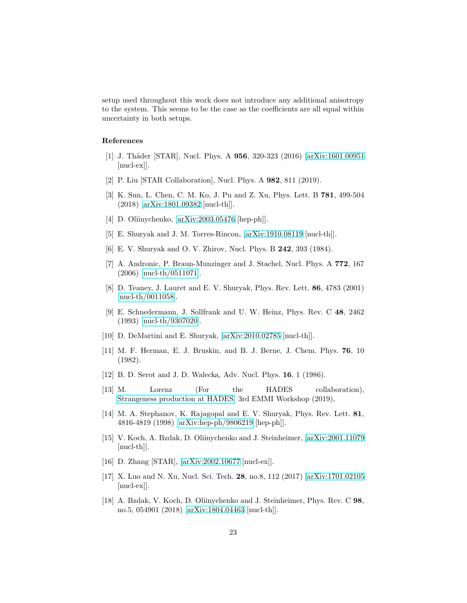setup used throughout this work does not introduce any additional anisotropy to the system. This seems to be the case as the coefficients are all equal within uncertainty in both setups.

# References

- <span id="page-22-0"></span>[1] J. Thäder [STAR], Nucl. Phys. A  $956$ , 320-323 (2016) [\[arXiv:1601.00951](http://arxiv.org/abs/1601.00951)] [nucl-ex]].
- <span id="page-22-1"></span>[2] P. Liu [STAR Collaboration], Nucl. Phys. A 982, 811 (2019).
- <span id="page-22-2"></span>[3] K. Sun, L. Chen, C. M. Ko, J. Pu and Z. Xu, Phys. Lett. B 781, 499-504 (2018) [\[arXiv:1801.09382](http://arxiv.org/abs/1801.09382) [nucl-th]].
- <span id="page-22-3"></span>[4] D. Oliinychenko, [\[arXiv:2003.05476](http://arxiv.org/abs/2003.05476) [hep-ph]].
- <span id="page-22-4"></span>[5] E. Shuryak and J. M. Torres-Rincon, [\[arXiv:1910.08119](http://arxiv.org/abs/1910.08119) [nucl-th]].
- <span id="page-22-5"></span>[6] E. V. Shuryak and O. V. Zhirov, Nucl. Phys. B 242, 393 (1984).
- <span id="page-22-6"></span>[7] A. Andronic, P. Braun-Munzinger and J. Stachel, Nucl. Phys. A 772, 167 (2006) [\[nucl-th/0511071\]](http://arxiv.org/abs/nucl-th/0511071).
- <span id="page-22-7"></span>[8] D. Teaney, J. Lauret and E. V. Shuryak, Phys. Rev. Lett. 86, 4783 (2001) [\[nucl-th/0011058\]](http://arxiv.org/abs/nucl-th/0011058).
- <span id="page-22-8"></span>[9] E. Schnedermann, J. Sollfrank and U. W. Heinz, Phys. Rev. C 48, 2462 (1993) [\[nucl-th/9307020\]](http://arxiv.org/abs/nucl-th/9307020).
- <span id="page-22-9"></span>[10] D. DeMartini and E. Shuryak, [\[arXiv:2010.02785](http://arxiv.org/abs/2010.02785) [nucl-th]].
- <span id="page-22-10"></span>[11] M. F. Herman, E. J. Bruskin, and B. J. Berne, J. Chem. Phys. 76, 10 (1982).
- <span id="page-22-11"></span>[12] B. D. Serot and J. D. Walecka, Adv. Nucl. Phys. 16, 1 (1986).
- <span id="page-22-12"></span>[13] M. Lorenz (For the HADES collaboration), [Strangeness production at HADES,](https://indico.gsi.de/event/9423/contributions/40798/attachments/29216/36371/lorenz_exotica3_na.pdf) 3rd EMMI Workshop (2019),
- <span id="page-22-13"></span>[14] M. A. Stephanov, K. Rajagopal and E. V. Shuryak, Phys. Rev. Lett. 81, 4816-4819 (1998) [\[arXiv:hep-ph/9806219](http://arxiv.org/abs/hep-ph/9806219) [hep-ph]].
- <span id="page-22-14"></span>[15] V. Koch, A. Bzdak, D. Oliinychenko and J. Steinheimer, [\[arXiv:2001.11079](http://arxiv.org/abs/2001.11079) [nucl-th]].
- <span id="page-22-15"></span>[16] D. Zhang [STAR], [\[arXiv:2002.10677](http://arxiv.org/abs/2002.10677) [nucl-ex]].
- <span id="page-22-16"></span>[17] X. Luo and N. Xu, Nucl. Sci. Tech. 28, no.8, 112 (2017) [\[arXiv:1701.02105](http://arxiv.org/abs/1701.02105) [nucl-ex]].
- <span id="page-22-17"></span>[18] A. Bzdak, V. Koch, D. Oliinychenko and J. Steinheimer, Phys. Rev. C 98, no.5, 054901 (2018) [\[arXiv:1804.04463](http://arxiv.org/abs/1804.04463) [nucl-th]].